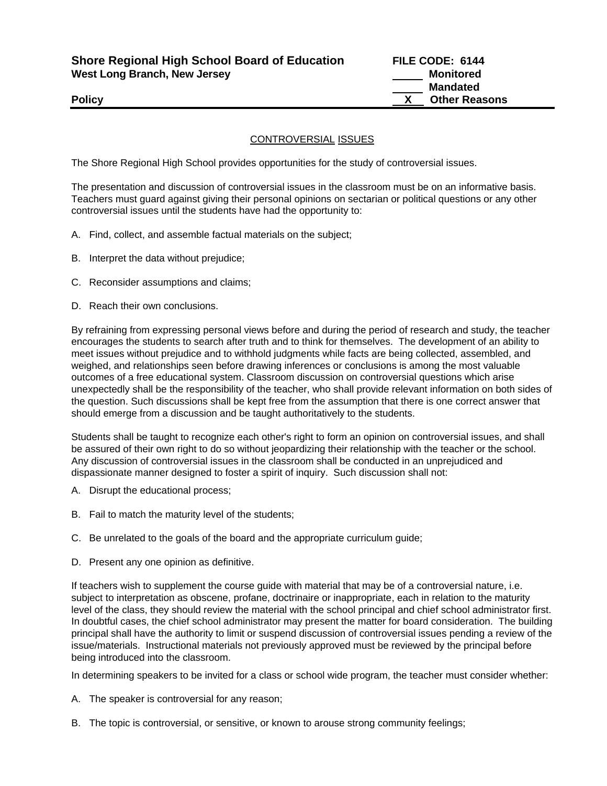**Shore Regional High School Board of Education FILE CODE: 6144**  West Long Branch, New Jersey **Monitored Monitored Monitored** 

## CONTROVERSIAL ISSUES

The Shore Regional High School provides opportunities for the study of controversial issues.

The presentation and discussion of controversial issues in the classroom must be on an informative basis. Teachers must guard against giving their personal opinions on sectarian or political questions or any other controversial issues until the students have had the opportunity to:

- A. Find, collect, and assemble factual materials on the subject;
- B. Interpret the data without prejudice;
- C. Reconsider assumptions and claims;
- D. Reach their own conclusions.

By refraining from expressing personal views before and during the period of research and study, the teacher encourages the students to search after truth and to think for themselves. The development of an ability to meet issues without prejudice and to withhold judgments while facts are being collected, assembled, and weighed, and relationships seen before drawing inferences or conclusions is among the most valuable outcomes of a free educational system. Classroom discussion on controversial questions which arise unexpectedly shall be the responsibility of the teacher, who shall provide relevant information on both sides of the question. Such discussions shall be kept free from the assumption that there is one correct answer that should emerge from a discussion and be taught authoritatively to the students.

Students shall be taught to recognize each other's right to form an opinion on controversial issues, and shall be assured of their own right to do so without jeopardizing their relationship with the teacher or the school. Any discussion of controversial issues in the classroom shall be conducted in an unprejudiced and dispassionate manner designed to foster a spirit of inquiry. Such discussion shall not:

- A. Disrupt the educational process;
- B. Fail to match the maturity level of the students;
- C. Be unrelated to the goals of the board and the appropriate curriculum guide;
- D. Present any one opinion as definitive.

If teachers wish to supplement the course guide with material that may be of a controversial nature, i.e. subject to interpretation as obscene, profane, doctrinaire or inappropriate, each in relation to the maturity level of the class, they should review the material with the school principal and chief school administrator first. In doubtful cases, the chief school administrator may present the matter for board consideration. The building principal shall have the authority to limit or suspend discussion of controversial issues pending a review of the issue/materials. Instructional materials not previously approved must be reviewed by the principal before being introduced into the classroom.

In determining speakers to be invited for a class or school wide program, the teacher must consider whether:

- A. The speaker is controversial for any reason;
- B. The topic is controversial, or sensitive, or known to arouse strong community feelings;